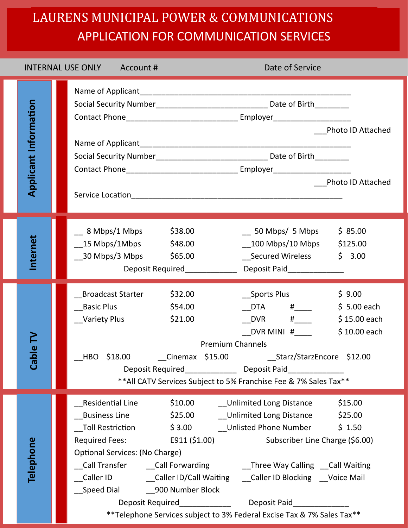## LAURENS MUNICIPAL POWER & COMMUNICATIONS APPLICATION FOR COMMUNICATION SERVICES

|                              | Date of Service<br><b>INTERNAL USE ONLY</b><br>Account# |                                                                                                                                                                                                                                                                                                                                                                                                                                                                                                                                                                                                                                       |  |  |  |
|------------------------------|---------------------------------------------------------|---------------------------------------------------------------------------------------------------------------------------------------------------------------------------------------------------------------------------------------------------------------------------------------------------------------------------------------------------------------------------------------------------------------------------------------------------------------------------------------------------------------------------------------------------------------------------------------------------------------------------------------|--|--|--|
| <b>Applicant Information</b> |                                                         | Name of Applicant_<br>Photo ID Attached<br><b>Photo ID Attached</b>                                                                                                                                                                                                                                                                                                                                                                                                                                                                                                                                                                   |  |  |  |
| Internet                     |                                                         | $\_$ 8 Mbps/1 Mbps<br>\$38.00<br>$\_$ 50 Mbps/ 5 Mbps<br>\$85.00<br>$\_15$ Mbps/1Mbps $\phantom{000}$ \$48.00<br>__100 Mbps/10 Mbps \$125.00<br>__30 Mbps/3 Mbps    \$65.00<br>__Secured Wireless<br>\$3.00<br>Deposit Required_________________ Deposit Paid_______________                                                                                                                                                                                                                                                                                                                                                          |  |  |  |
| ω<br>Cab                     |                                                         | <b>Broadcast Starter</b><br>\$32.00<br>__Sports Plus<br>\$9.00<br>\$54.00<br><b>Basic Plus</b><br>$\begin{array}{ccc}\n & \text{DTA} & \text{#} & \n\end{array}$<br>$$5.00$ each<br>$DVR$ #<br>__Variety Plus<br>\$21.00<br>$$15.00$ each<br>DVR MINI $#$ <sub>_____</sub><br>$$10.00$ each<br><b>Premium Channels</b><br>_HBO \$18.00 _______Cinemax \$15.00 _______________Starz/StarzEncore \$12.00<br>Deposit Required Deposit Paid<br>** All CATV Services Subject to 5% Franchise Fee & 7% Sales Tax**                                                                                                                          |  |  |  |
| Telephone                    |                                                         | \$10.00 ___ Unlimited Long Distance<br>\$15.00<br>Residential Line<br>_Business Line       \$25.00     __Unlimited Long Distance     \$25.00<br>Toll Restriction $\frac{1}{2}$ \$ 3.00 Unlisted Phone Number<br>\$1.50<br>Required Fees: E911 (\$1.00)<br>Subscriber Line Charge (\$6.00)<br>Optional Services: (No Charge)<br>__Call Transfer    __Call Forwarding       __Three Way Calling __Call Waiting<br>_Caller ID      __Caller ID/Call Waiting   __Caller ID Blocking   __Voice Mail<br>Deposit Required_________________ Deposit Paid__________<br>** Telephone Services subject to 3% Federal Excise Tax & 7% Sales Tax** |  |  |  |